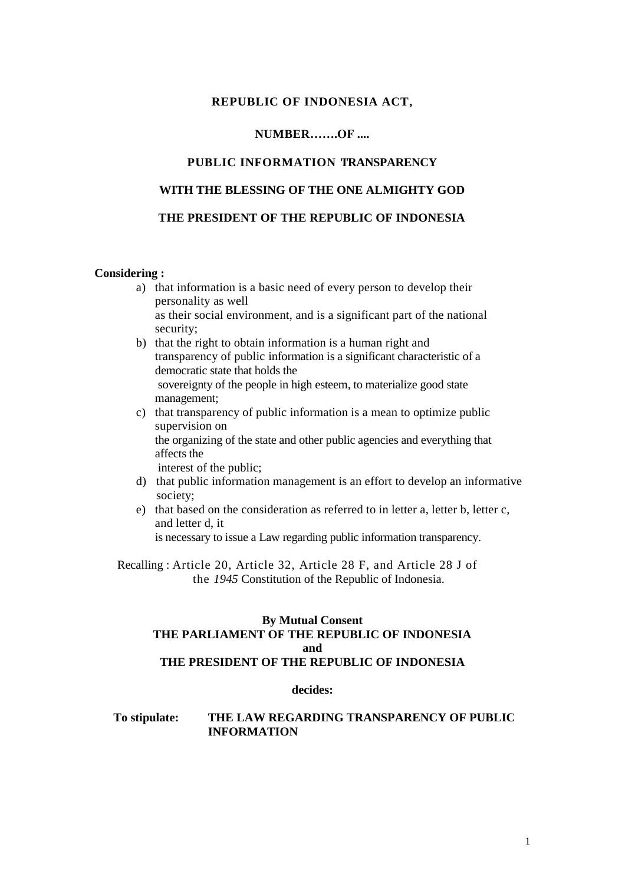## **REPUBLIC OF INDONESIA ACT,**

## **NUMBER…….OF ....**

## **PUBLIC INFORMATION 'I'RANSPARENCY**

#### **WITH THE BLESSING OF THE ONE ALMIGHTY GOD**

## **THE PRESIDENT OF THE REPUBLIC OF INDONESIA**

#### **Considering :**

- a) that information is a basic need of every person to develop their personality as well as their social environment, and is a significant part of the national security;
- b) that the right to obtain information is a human right and transparency of public information is a significant characteristic of a democratic state that holds the sovereignty of the people in high esteem, to materialize good state management;
- c) that transparency of public information is a mean to optimize public supervision on the organizing of the state and other public agencies and everything that affects the interest of the public;
- d) that public information management is an effort to develop an informative society;
- e) that based on the consideration as referred to in letter a, letter b, letter c, and letter d, it is necessary to issue a Law regarding public information transparency.

Recalling : Article 20, Article 32, Article 28 F, and Article 28 J of the *1945* Constitution of the Republic of Indonesia.

#### **By Mutual Consent THE PARLIAMENT OF THE REPUBLIC OF INDONESIA and THE PRESIDENT OF THE REPUBLIC OF INDONESIA**

#### **decides:**

#### **To stipulate: THE LAW REGARDING TRANSPARENCY OF PUBLIC INFORMATION**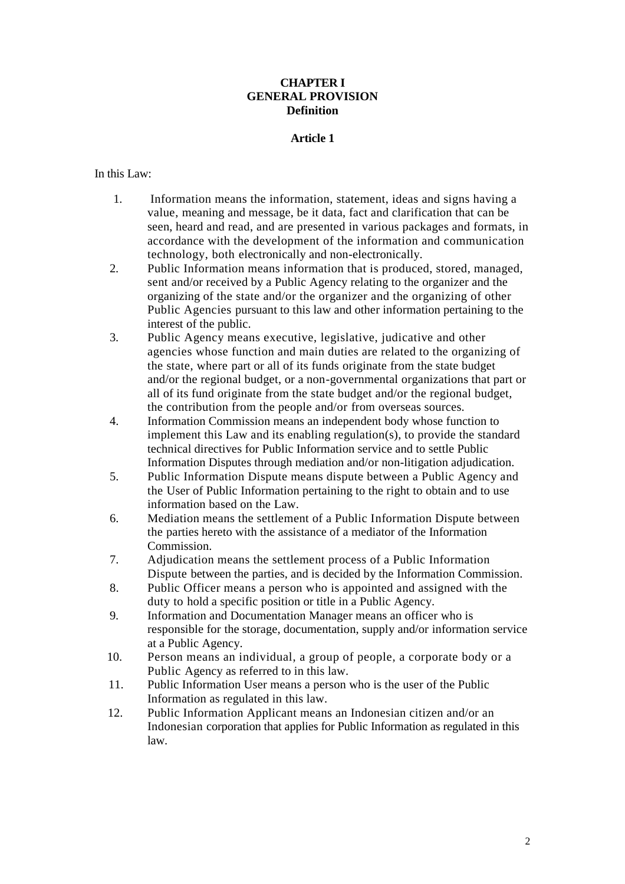## **CHAPTER I GENERAL PROVISION Definition**

## **Article 1**

## In this Law:

- 1. Information means the information, statement, ideas and signs having a value, meaning and message, be it data, fact and clarification that can be seen, heard and read, and are presented in various packages and formats, in accordance with the development of the information and communication technology, both electronically and non-electronically.
- 2. Public Information means information that is produced, stored, managed, sent and/or received by a Public Agency relating to the organizer and the organizing of the state and/or the organizer and the organizing of other Public Agencies pursuant to this law and other information pertaining to the interest of the public.
- 3. Public Agency means executive, legislative, judicative and other agencies whose function and main duties are related to the organizing of the state, where part or all of its funds originate from the state budget and/or the regional budget, or a non-governmental organizations that part or all of its fund originate from the state budget and/or the regional budget, the contribution from the people and/or from overseas sources.
- 4. Information Commission means an independent body whose function to implement this Law and its enabling regulation(s), to provide the standard technical directives for Public Information service and to settle Public Information Disputes through mediation and/or non-litigation adjudication.
- 5. Public Information Dispute means dispute between a Public Agency and the User of Public Information pertaining to the right to obtain and to use information based on the Law.
- 6. Mediation means the settlement of a Public Information Dispute between the parties hereto with the assistance of a mediator of the Information Commission.
- 7. Adjudication means the settlement process of a Public Information Dispute between the parties, and is decided by the Information Commission.
- 8. Public Officer means a person who is appointed and assigned with the duty to hold a specific position or title in a Public Agency.
- 9. Information and Documentation Manager means an officer who is responsible for the storage, documentation, supply and/or information service at a Public Agency.
- 10. Person means an individual, a group of people, a corporate body or a Public Agency as referred to in this law.
- 11. Public Information User means a person who is the user of the Public Information as regulated in this law.
- 12. Public Information Applicant means an Indonesian citizen and/or an Indonesian corporation that applies for Public Information as regulated in this law.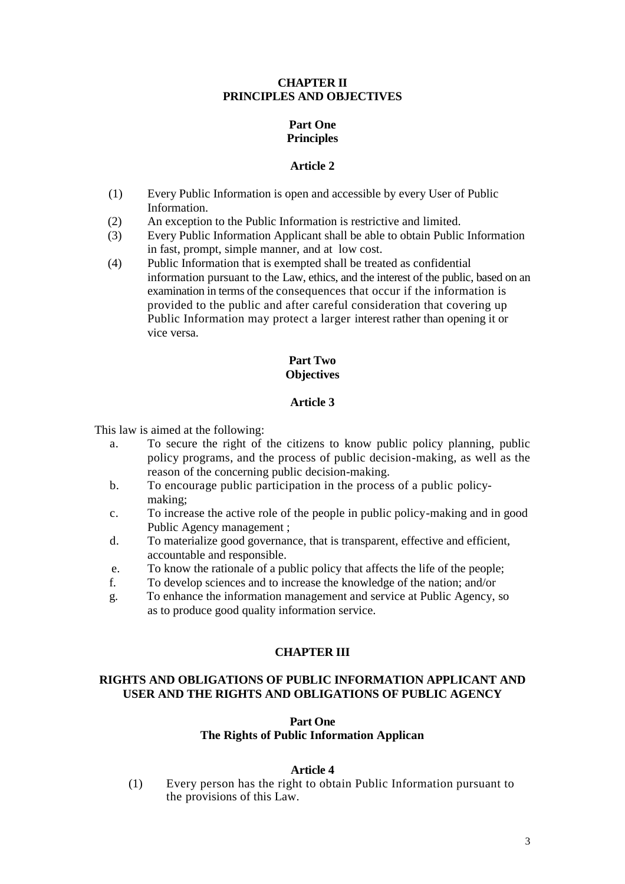## **CHAPTER II PRINCIPLES AND OBJECTIVES**

# **Part One Principles**

## **Article 2**

- (1) Every Public Information is open and accessible by every User of Public Information.
- (2) An exception to the Public Information is restrictive and limited.
- (3) Every Public Information Applicant shall be able to obtain Public Information in fast, prompt, simple manner, and at low cost.
- (4) Public Information that is exempted shall be treated as confidential information pursuant to the Law, ethics, and the interest of the public, based on an examination in terms of the consequences that occur if the information is provided to the public and after careful consideration that covering up Public Information may protect a larger interest rather than opening it or vice versa.

## **Part Two Objectives**

# **Article 3**

This law is aimed at the following:

- a. To secure the right of the citizens to know public policy planning, public policy programs, and the process of public decision-making, as well as the reason of the concerning public decision-making.
- b. To encourage public participation in the process of a public policymaking;
- c. To increase the active role of the people in public policy-making and in good Public Agency management ;
- d. To materialize good governance, that is transparent, effective and efficient, accountable and responsible.
- e. To know the rationale of a public policy that affects the life of the people;
- f. To develop sciences and to increase the knowledge of the nation; and/or
- g. To enhance the information management and service at Public Agency, so as to produce good quality information service.

# **CHAPTER III**

## **RIGHTS AND OBLIGATIONS OF PUBLIC INFORMATION APPLICANT AND USER AND THE RIGHTS AND OBLIGATIONS OF PUBLIC AGENCY**

#### **Part One The Rights of Public Information Applican**

## **Article 4**

(1) Every person has the right to obtain Public Information pursuant to the provisions of this Law.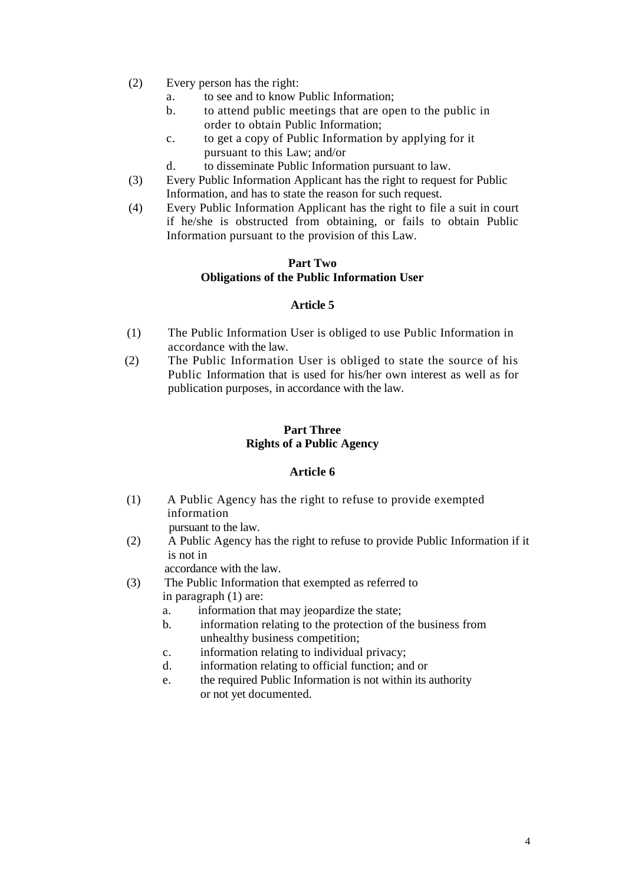- (2) Every person has the right:
	- a. to see and to know Public Information;
	- b. to attend public meetings that are open to the public in order to obtain Public Information;
	- c. to get a copy of Public Information by applying for it pursuant to this Law; and/or
	- d. to disseminate Public Information pursuant to law.
- (3) Every Public Information Applicant has the right to request for Public Information, and has to state the reason for such request.
- (4) Every Public Information Applicant has the right to file a suit in court if he/she is obstructed from obtaining, or fails to obtain Public Information pursuant to the provision of this Law.

#### **Part Two Obligations of the Public Information User**

## **Article 5**

- (1) The Public Information User is obliged to use Public Information in accordance with the law.
- (2) The Public Information User is obliged to state the source of his Public Information that is used for his/her own interest as well as for publication purposes, in accordance with the law.

## **Part Three Rights of a Public Agency**

## **Article 6**

(1) A Public Agency has the right to refuse to provide exempted information

pursuant to the law.

(2) A Public Agency has the right to refuse to provide Public Information if it is not in

accordance with the law.

- (3) The Public Information that exempted as referred to in paragraph (1) are:
	- a. information that may jeopardize the state;
	- b. information relating to the protection of the business from unhealthy business competition;
	- c. information relating to individual privacy;
	- d. information relating to official function; and or
	- e. the required Public Information is not within its authority or not yet documented.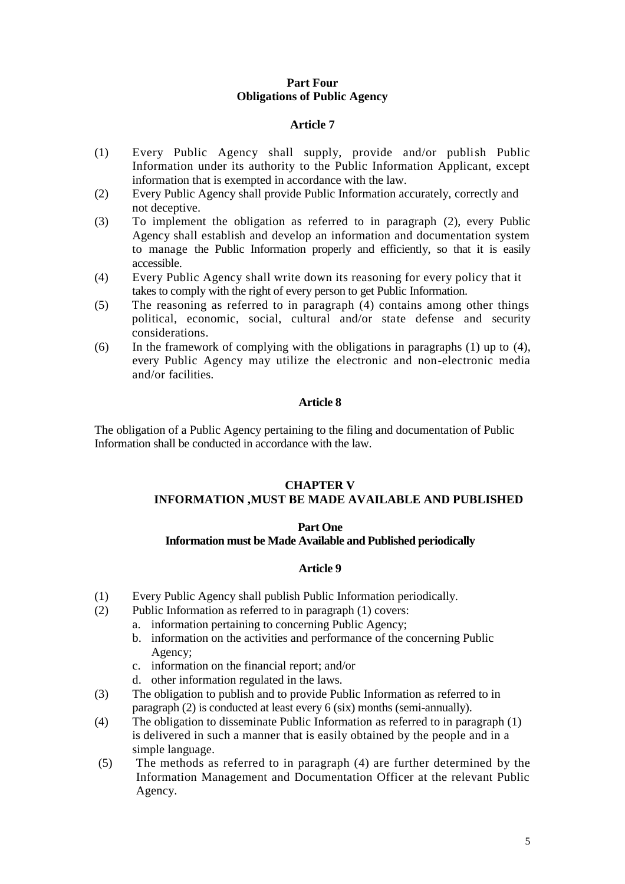## **Part Four Obligations of Public Agency**

## **Article 7**

- (1) Every Public Agency shall supply, provide and/or publish Public Information under its authority to the Public Information Applicant, except information that is exempted in accordance with the law.
- (2) Every Public Agency shall provide Public Information accurately, correctly and not deceptive.
- (3) To implement the obligation as referred to in paragraph (2), every Public Agency shall establish and develop an information and documentation system to manage the Public Information properly and efficiently, so that it is easily accessible.
- (4) Every Public Agency shall write down its reasoning for every policy that it takes to comply with the right of every person to get Public Information.
- (5) The reasoning as referred to in paragraph (4) contains among other things political, economic, social, cultural and/or state defense and security considerations.
- (6) In the framework of complying with the obligations in paragraphs (1) up to (4), every Public Agency may utilize the electronic and non-electronic media and/or facilities.

## **Article 8**

The obligation of a Public Agency pertaining to the filing and documentation of Public Information shall be conducted in accordance with the law.

#### **CHAPTER V INFORMATION ,MUST BE MADE AVAILABLE AND PUBLISHED**

#### **Part One**

## **Information must be Made Available and Published periodically**

- (1) Every Public Agency shall publish Public Information periodically.
- (2) Public Information as referred to in paragraph (1) covers:
	- a. information pertaining to concerning Public Agency;
	- b. information on the activities and performance of the concerning Public Agency;
	- c. information on the financial report; and/or
	- d. other information regulated in the laws.
- (3) The obligation to publish and to provide Public Information as referred to in paragraph (2) is conducted at least every 6 (six) months (semi-annually).
- (4) The obligation to disseminate Public Information as referred to in paragraph (1) is delivered in such a manner that is easily obtained by the people and in a simple language.
- (5) The methods as referred to in paragraph (4) are further determined by the Information Management and Documentation Officer at the relevant Public Agency.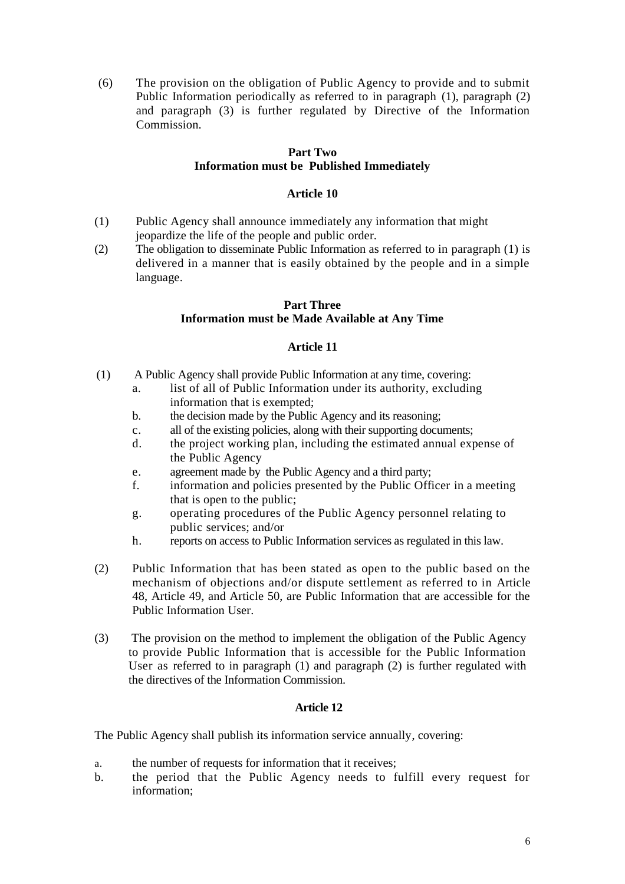(6) The provision on the obligation of Public Agency to provide and to submit Public Information periodically as referred to in paragraph (1), paragraph (2) and paragraph (3) is further regulated by Directive of the Information Commission.

## **Part Two Information must be Published Immediately**

## **Article 10**

- (1) Public Agency shall announce immediately any information that might jeopardize the life of the people and public order.
- (2) The obligation to disseminate Public Information as referred to in paragraph (1) is delivered in a manner that is easily obtained by the people and in a simple language.

## **Part Three**

# **Information must be Made Available at Any Time**

## **Article 11**

- (1) A Public Agency shall provide Public Information at any time, covering:
	- a. list of all of Public Information under its authority, excluding information that is exempted;
	- b. the decision made by the Public Agency and its reasoning;
	- c. all of the existing policies, along with their supporting documents;
	- d. the project working plan, including the estimated annual expense of the Public Agency
	- e. agreement made by the Public Agency and a third party;
	- f. information and policies presented by the Public Officer in a meeting that is open to the public;
	- g. operating procedures of the Public Agency personnel relating to public services; and/or
	- h. reports on access to Public Information services as regulated in this law.
- (2) Public Information that has been stated as open to the public based on the mechanism of objections and/or dispute settlement as referred to in Article 48, Article 49, and Article 50, are Public Information that are accessible for the Public Information User.
- (3) The provision on the method to implement the obligation of the Public Agency to provide Public Information that is accessible for the Public Information User as referred to in paragraph  $(1)$  and paragraph  $(2)$  is further regulated with the directives of the Information Commission.

## **Article 12**

The Public Agency shall publish its information service annually, covering:

- a. the number of requests for information that it receives;
- b. the period that the Public Agency needs to fulfill every request for information;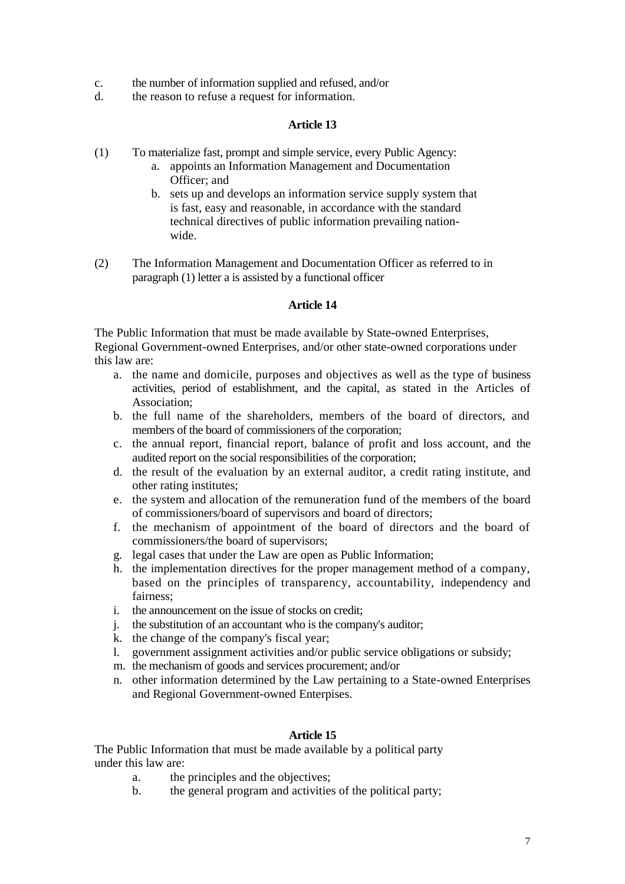- c. the number of information supplied and refused, and/or
- d. the reason to refuse a request for information.

#### **Article 13**

- (1) To materialize fast, prompt and simple service, every Public Agency:
	- a. appoints an Information Management and Documentation Officer; and
	- b. sets up and develops an information service supply system that is fast, easy and reasonable, in accordance with the standard technical directives of public information prevailing nationwide.
- (2) The Information Management and Documentation Officer as referred to in paragraph (1) letter a is assisted by a functional officer

#### **Article 14**

The Public Information that must be made available by State-owned Enterprises, Regional Government-owned Enterprises, and/or other state-owned corporations under this law are:

- a. the name and domicile, purposes and objectives as well as the type of business activities, period of establishment, and the capital, as stated in the Articles of Association;
- b. the full name of the shareholders, members of the board of directors, and members of the board of commissioners of the corporation;
- c. the annual report, financial report, balance of profit and loss account, and the audited report on the social responsibilities of the corporation;
- d. the result of the evaluation by an external auditor, a credit rating institute, and other rating institutes;
- e. the system and allocation of the remuneration fund of the members of the board of commissioners/board of supervisors and board of directors;
- f. the mechanism of appointment of the board of directors and the board of commissioners/the board of supervisors;
- g. legal cases that under the Law are open as Public Information;
- h. the implementation directives for the proper management method of a company, based on the principles of transparency, accountability, independency and fairness;
- i. the announcement on the issue of stocks on credit;
- j. the substitution of an accountant who is the company's auditor;
- k. the change of the company's fiscal year;
- l. government assignment activities and/or public service obligations or subsidy;
- m. the mechanism of goods and services procurement; and/or
- n. other information determined by the Law pertaining to a State-owned Enterprises and Regional Government-owned Enterpises.

## **Article 15**

The Public Information that must be made available by a political party under this law are:

- a. the principles and the objectives;
- b. the general program and activities of the political party;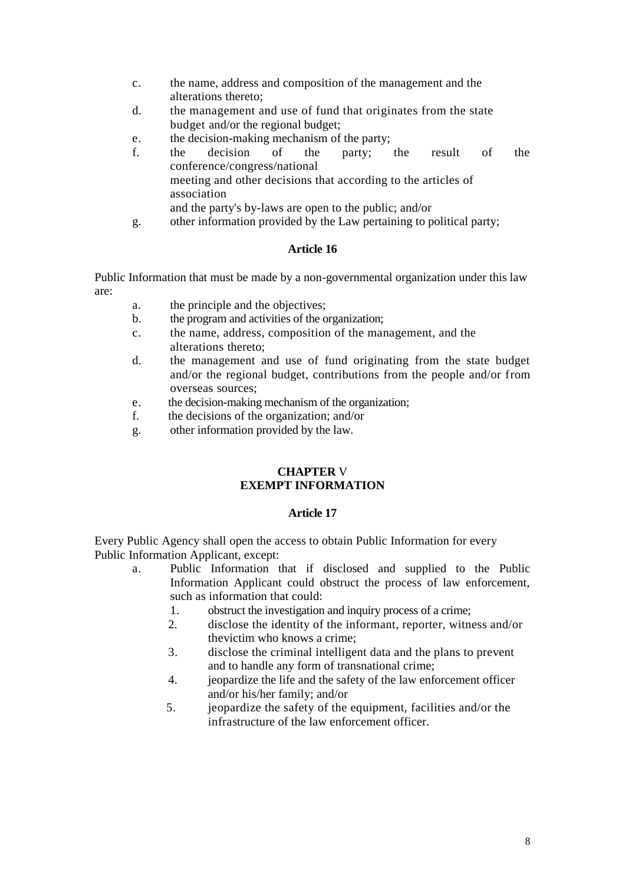- c. the name, address and composition of the management and the alterations thereto;
- d. the management and use of fund that originates from the state budget and/or the regional budget;
- e. the decision-making mechanism of the party;
- f. the decision of the party; the result of the conference/congress/national meeting and other decisions that according to the articles of association and the party's by-laws are open to the public; and/or
- g. other information provided by the Law pertaining to political party;

# **Article 16**

Public Information that must be made by a non-governmental organization under this law are:

- a. the principle and the objectives;
- b. the program and activities of the organization;
- c. the name, address, composition of the management, and the alterations thereto;
- d. the management and use of fund originating from the state budget and/or the regional budget, contributions from the people and/or from overseas sources;
- e. the decision-making mechanism of the organization;
- f. the decisions of the organization; and/or
- g. other information provided by the law.

## **CHAPTER** V **EXEMPT INFORMATION**

## **Article 17**

Every Public Agency shall open the access to obtain Public Information for every Public Information Applicant, except:

- a. Public Information that if disclosed and supplied to the Public Information Applicant could obstruct the process of law enforcement, such as information that could:
	- 1. obstruct the investigation and inquiry process of a crime;
	- 2. disclose the identity of the informant, reporter, witness and/or thevictim who knows a crime;
	- 3. disclose the criminal intelligent data and the plans to prevent and to handle any form of transnational crime;
	- 4. jeopardize the life and the safety of the law enforcement officer and/or his/her family; and/or
	- 5. jeopardize the safety of the equipment, facilities and/or the infrastructure of the law enforcement officer.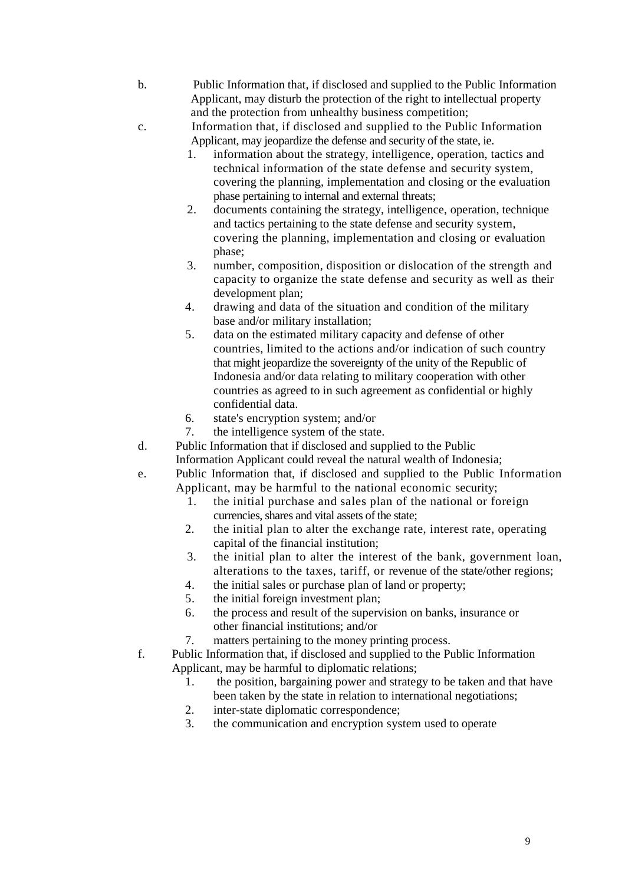- b. Public Information that, if disclosed and supplied to the Public Information Applicant, may disturb the protection of the right to intellectual property and the protection from unhealthy business competition;
- c. Information that, if disclosed and supplied to the Public Information Applicant, may jeopardize the defense and security of the state, ie.
	- 1. information about the strategy, intelligence, operation, tactics and technical information of the state defense and security system, covering the planning, implementation and closing or the evaluation phase pertaining to internal and external threats;
	- 2. documents containing the strategy, intelligence, operation, technique and tactics pertaining to the state defense and security system, covering the planning, implementation and closing or evaluation phase;
	- 3. number, composition, disposition or dislocation of the strength and capacity to organize the state defense and security as well as their development plan;
	- 4. drawing and data of the situation and condition of the military base and/or military installation;
	- 5. data on the estimated military capacity and defense of other countries, limited to the actions and/or indication of such country that might jeopardize the sovereignty of the unity of the Republic of Indonesia and/or data relating to military cooperation with other countries as agreed to in such agreement as confidential or highly confidential data.
	- 6. state's encryption system; and/or
	- 7. the intelligence system of the state.
- d. Public Information that if disclosed and supplied to the Public Information Applicant could reveal the natural wealth of Indonesia;
- e. Public Information that, if disclosed and supplied to the Public Information Applicant, may be harmful to the national economic security;
	- 1. the initial purchase and sales plan of the national or foreign currencies, shares and vital assets of the state;
	- 2. the initial plan to alter the exchange rate, interest rate, operating capital of the financial institution;
	- 3. the initial plan to alter the interest of the bank, government loan, alterations to the taxes, tariff, or revenue of the state/other regions;
	- 4. the initial sales or purchase plan of land or property;
	- 5. the initial foreign investment plan;
	- 6. the process and result of the supervision on banks, insurance or other financial institutions; and/or
	- 7. matters pertaining to the money printing process.
- f. Public Information that, if disclosed and supplied to the Public Information Applicant, may be harmful to diplomatic relations;
	- 1. the position, bargaining power and strategy to be taken and that have been taken by the state in relation to international negotiations;
	- 2. inter-state diplomatic correspondence;
	- 3. the communication and encryption system used to operate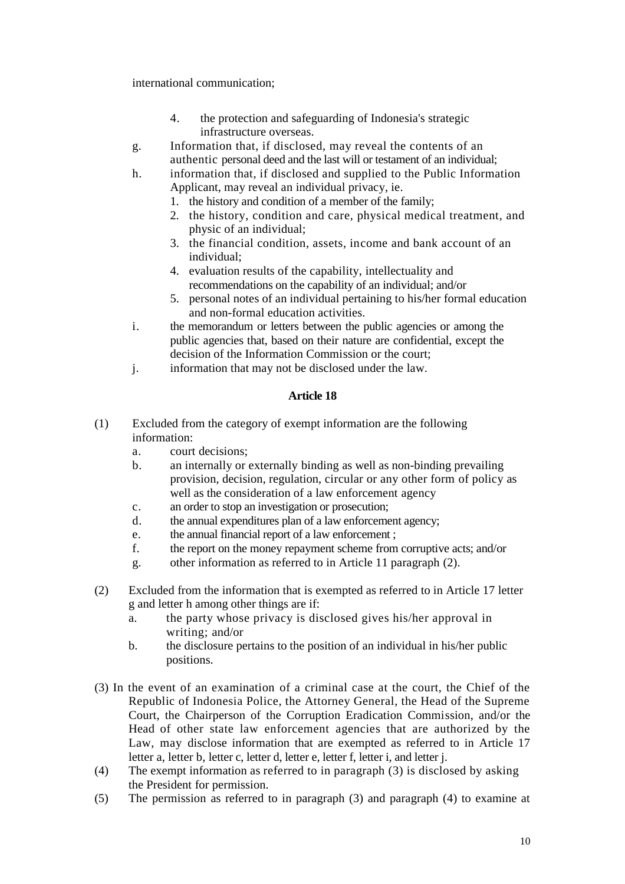international communication;

- 4. the protection and safeguarding of Indonesia's strategic infrastructure overseas.
- g. Information that, if disclosed, may reveal the contents of an authentic personal deed and the last will or testament of an individual;
- h. information that, if disclosed and supplied to the Public Information Applicant, may reveal an individual privacy, ie.
	- 1. the history and condition of a member of the family;
	- 2. the history, condition and care, physical medical treatment, and physic of an individual;
	- 3. the financial condition, assets, income and bank account of an individual;
	- 4. evaluation results of the capability, intellectuality and recommendations on the capability of an individual; and/or
	- 5. personal notes of an individual pertaining to his/her formal education and non-formal education activities.
- i. the memorandum or letters between the public agencies or among the public agencies that, based on their nature are confidential, except the decision of the Information Commission or the court;
- j. information that may not be disclosed under the law.

- (1) Excluded from the category of exempt information are the following information:
	- a. court decisions;
	- b. an internally or externally binding as well as non-binding prevailing provision, decision, regulation, circular or any other form of policy as well as the consideration of a law enforcement agency
	- c. an order to stop an investigation or prosecution;
	- d. the annual expenditures plan of a law enforcement agency;
	- e. the annual financial report of a law enforcement ;
	- f. the report on the money repayment scheme from corruptive acts; and/or
	- g. other information as referred to in Article 11 paragraph (2).
- (2) Excluded from the information that is exempted as referred to in Article 17 letter g and letter h among other things are if:
	- a. the party whose privacy is disclosed gives his/her approval in writing; and/or
	- b. the disclosure pertains to the position of an individual in his/her public positions.
- (3) In the event of an examination of a criminal case at the court, the Chief of the Republic of Indonesia Police, the Attorney General, the Head of the Supreme Court, the Chairperson of the Corruption Eradication Commission, and/or the Head of other state law enforcement agencies that are authorized by the Law, may disclose information that are exempted as referred to in Article 17 letter a, letter b, letter c, letter d, letter e, letter f, letter i, and letter j.
- (4) The exempt information as referred to in paragraph (3) is disclosed by asking the President for permission.
- (5) The permission as referred to in paragraph (3) and paragraph (4) to examine at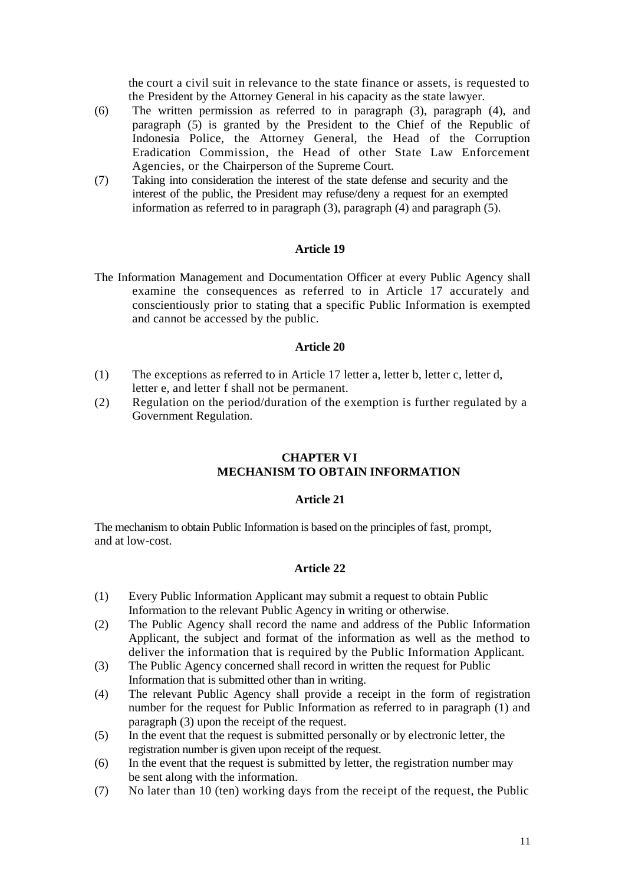the court a civil suit in relevance to the state finance or assets, is requested to the President by the Attorney General in his capacity as the state lawyer.

- (6) The written permission as referred to in paragraph (3), paragraph (4), and paragraph (5) is granted by the President to the Chief of the Republic of Indonesia Police, the Attorney General, the Head of the Corruption Eradication Commission, the Head of other State Law Enforcement Agencies, or the Chairperson of the Supreme Court.
- (7) Taking into consideration the interest of the state defense and security and the interest of the public, the President may refuse/deny a request for an exempted information as referred to in paragraph (3), paragraph (4) and paragraph  $(5)$ .

## **Article 19**

The Information Management and Documentation Officer at every Public Agency shall examine the consequences as referred to in Article 17 accurately and conscientiously prior to stating that a specific Public Information is exempted and cannot be accessed by the public.

#### **Article 20**

- (1) The exceptions as referred to in Article 17 letter a, letter b, letter c, letter d, letter e, and letter f shall not be permanent.
- (2) Regulation on the period/duration of the exemption is further regulated by a Government Regulation.

## **CHAPTER VI MECHANISM TO OBTAIN INFORMATION**

#### **Article 21**

The mechanism to obtain Public Information is based on the principles of fast, prompt, and at low-cost.

- (1) Every Public Information Applicant may submit a request to obtain Public Information to the relevant Public Agency in writing or otherwise.
- (2) The Public Agency shall record the name and address of the Public Information Applicant, the subject and format of the information as well as the method to deliver the information that is required by the Public Information Applicant.
- (3) The Public Agency concerned shall record in written the request for Public Information that is submitted other than in writing.
- (4) The relevant Public Agency shall provide a receipt in the form of registration number for the request for Public Information as referred to in paragraph (1) and paragraph (3) upon the receipt of the request.
- (5) In the event that the request is submitted personally or by electronic letter, the registration number is given upon receipt of the request.
- (6) In the event that the request is submitted by letter, the registration number may be sent along with the information.
- (7) No later than 10 (ten) working days from the receipt of the request, the Public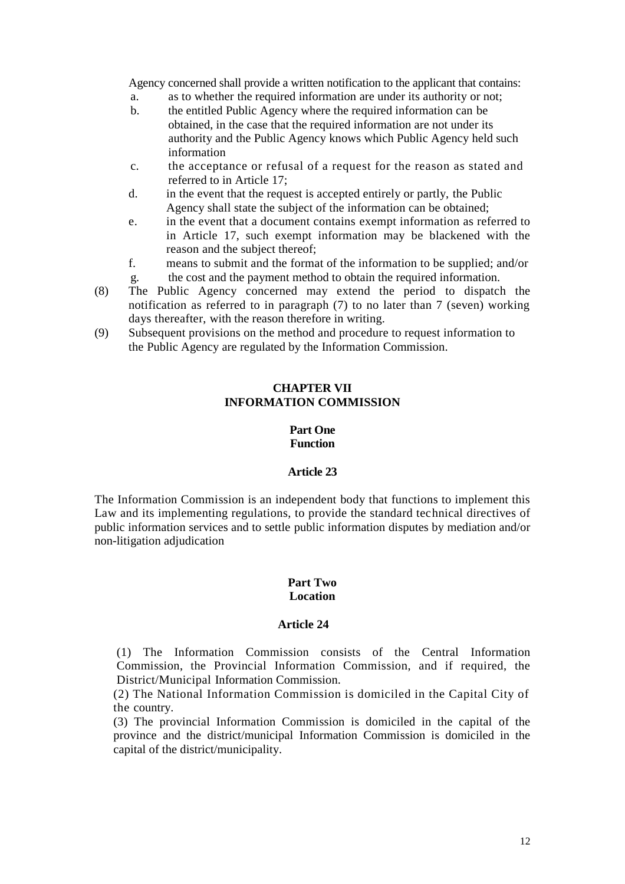Agency concerned shall provide a written notification to the applicant that contains:

- a. as to whether the required information are under its authority or not;
- b. the entitled Public Agency where the required information can be obtained, in the case that the required information are not under its authority and the Public Agency knows which Public Agency held such information
- c. the acceptance or refusal of a request for the reason as stated and referred to in Article 17;
- d. in the event that the request is accepted entirely or partly, the Public Agency shall state the subject of the information can be obtained;
- e. in the event that a document contains exempt information as referred to in Article 17, such exempt information may be blackened with the reason and the subject thereof;
- f. means to submit and the format of the information to be supplied; and/or g. the cost and the payment method to obtain the required information.
- (8) The Public Agency concerned may extend the period to dispatch the notification as referred to in paragraph (7) to no later than 7 (seven) working days thereafter, with the reason therefore in writing.
- (9) Subsequent provisions on the method and procedure to request information to the Public Agency are regulated by the Information Commission.

## **CHAPTER VII INFORMATION COMMISSION**

# **Part One Function**

## **Article 23**

The Information Commission is an independent body that functions to implement this Law and its implementing regulations, to provide the standard technical directives of public information services and to settle public information disputes by mediation and/or non-litigation adjudication

## **Part Two Location**

## **Article 24**

(1) The Information Commission consists of the Central Information Commission, the Provincial Information Commission, and if required, the District/Municipal Information Commission.

(2) The National Information Commission is domiciled in the Capital City of the country.

(3) The provincial Information Commission is domiciled in the capital of the province and the district/municipal Information Commission is domiciled in the capital of the district/municipality.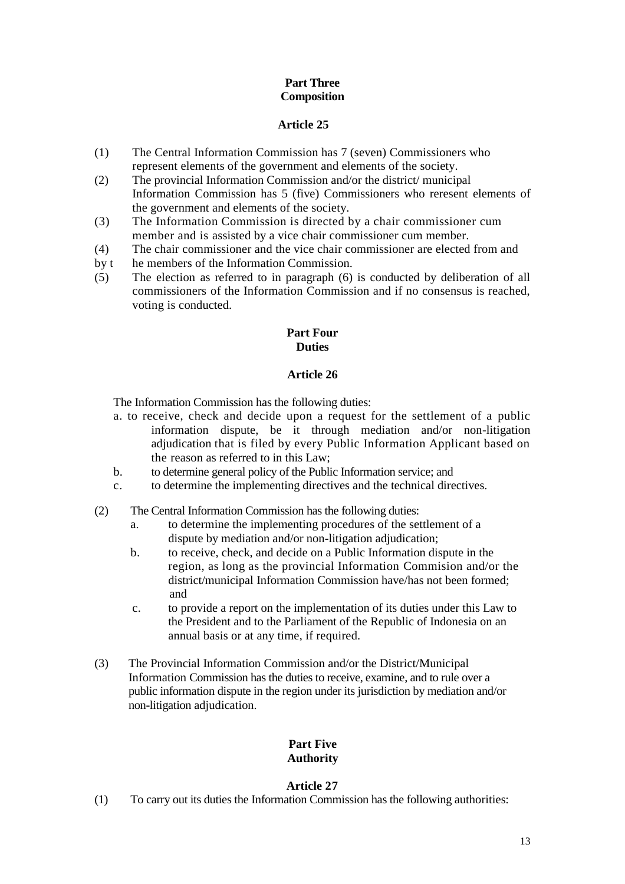# **Part Three Composition**

# **Article 25**

- (1) The Central Information Commission has 7 (seven) Commissioners who represent elements of the government and elements of the society.
- (2) The provincial Information Commission and/or the district/ municipal Information Commission has 5 (five) Commissioners who reresent elements of the government and elements of the society.
- (3) The Information Commission is directed by a chair commissioner cum member and is assisted by a vice chair commissioner cum member.
- (4) The chair commissioner and the vice chair commissioner are elected from and
- by t he members of the Information Commission.
- (5) The election as referred to in paragraph (6) is conducted by deliberation of all commissioners of the Information Commission and if no consensus is reached, voting is conducted.

## **Part Four Duties**

# **Article 26**

The Information Commission has the following duties:

- a. to receive, check and decide upon a request for the settlement of a public information dispute, be it through mediation and/or non-litigation adjudication that is filed by every Public Information Applicant based on the reason as referred to in this Law;
- b. to determine general policy of the Public Information service; and
- c. to determine the implementing directives and the technical directives.
- (2) The Central Information Commission has the following duties:
	- a. to determine the implementing procedures of the settlement of a dispute by mediation and/or non-litigation adjudication;
	- b. to receive, check, and decide on a Public Information dispute in the region, as long as the provincial Information Commision and/or the district/municipal Information Commission have/has not been formed; and
	- c. to provide a report on the implementation of its duties under this Law to the President and to the Parliament of the Republic of Indonesia on an annual basis or at any time, if required.
- (3) The Provincial Information Commission and/or the District/Municipal Information Commission has the duties to receive, examine, and to rule over a public information dispute in the region under its jurisdiction by mediation and/or non-litigation adjudication.

# **Part Five Authority**

# **Article 27**

(1) To carry out its duties the Information Commission has the following authorities: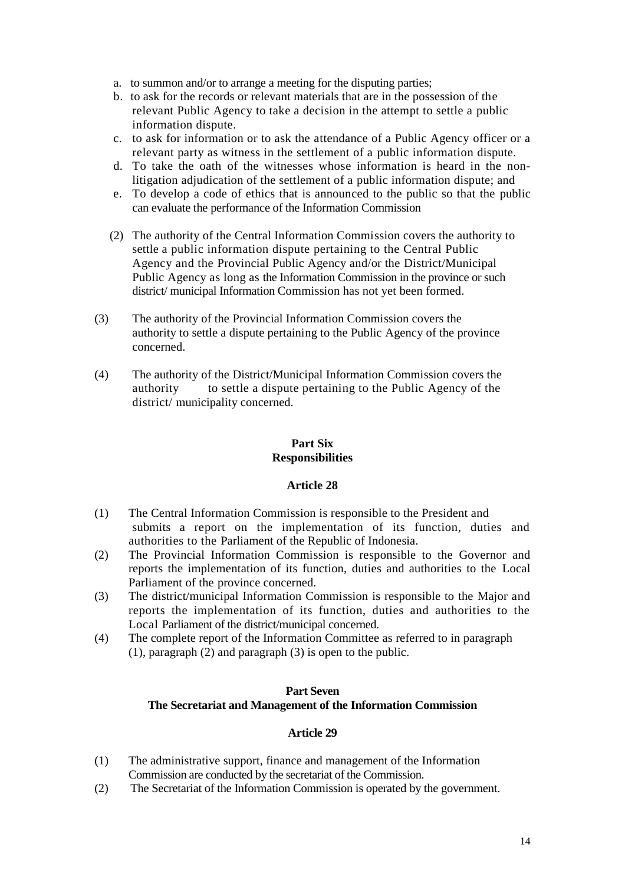- a. to summon and/or to arrange a meeting for the disputing parties;
- b. to ask for the records or relevant materials that are in the possession of the relevant Public Agency to take a decision in the attempt to settle a public information dispute.
- c. to ask for information or to ask the attendance of a Public Agency officer or a relevant party as witness in the settlement of a public information dispute.
- d. To take the oath of the witnesses whose information is heard in the nonlitigation adjudication of the settlement of a public information dispute; and
- e. To develop a code of ethics that is announced to the public so that the public can evaluate the performance of the Information Commission
- (2) The authority of the Central Information Commission covers the authority to settle a public information dispute pertaining to the Central Public Agency and the Provincial Public Agency and/or the District/Municipal Public Agency as long as the Information Commission in the province or such district/ municipal Information Commission has not yet been formed.
- (3) The authority of the Provincial Information Commission covers the authority to settle a dispute pertaining to the Public Agency of the province concerned.
- (4) The authority of the District/Municipal Information Commission covers the authority to settle a dispute pertaining to the Public Agency of the district/ municipality concerned.

## **Part Six Responsibilities**

## **Article 28**

- (1) The Central Information Commission is responsible to the President and submits a report on the implementation of its function, duties and authorities to the Parliament of the Republic of Indonesia.
- (2) The Provincial Information Commission is responsible to the Governor and reports the implementation of its function, duties and authorities to the Local Parliament of the province concerned.
- (3) The district/municipal Information Commission is responsible to the Major and reports the implementation of its function, duties and authorities to the Local Parliament of the district/municipal concerned.
- (4) The complete report of the Information Committee as referred to in paragraph (1), paragraph (2) and paragraph (3) is open to the public.

#### **Part Seven The Secretariat and Management of the Information Commission**

- (1) The administrative support, finance and management of the Information Commission are conducted by the secretariat of the Commission.
- (2) The Secretariat of the Information Commission is operated by the government.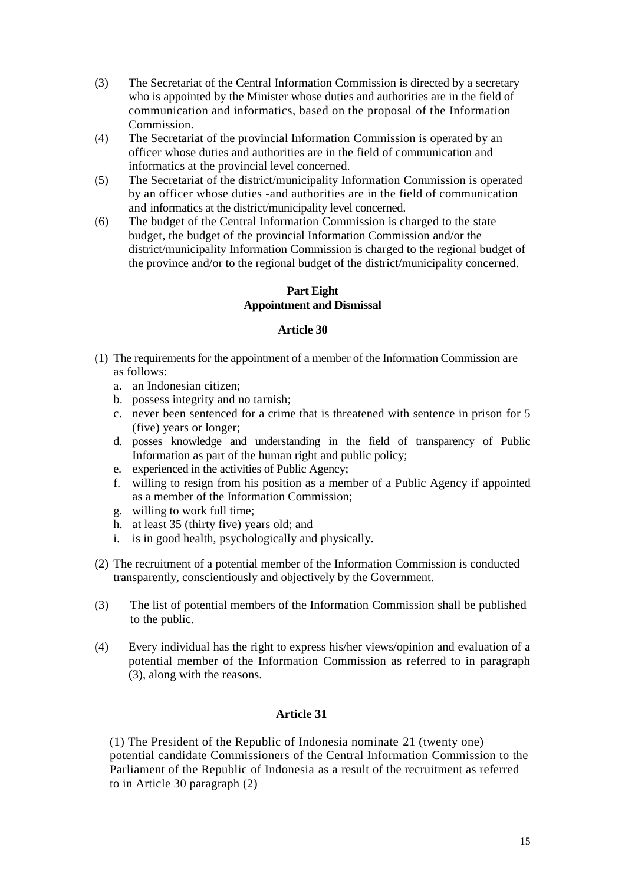- (3) The Secretariat of the Central Information Commission is directed by a secretary who is appointed by the Minister whose duties and authorities are in the field of communication and informatics, based on the proposal of the Information **Commission**
- (4) The Secretariat of the provincial Information Commission is operated by an officer whose duties and authorities are in the field of communication and informatics at the provincial level concerned.
- (5) The Secretariat of the district/municipality Information Commission is operated by an officer whose duties -and authorities are in the field of communication and informatics at the district/municipality level concerned.
- (6) The budget of the Central Information Commission is charged to the state budget, the budget of the provincial Information Commission and/or the district/municipality Information Commission is charged to the regional budget of the province and/or to the regional budget of the district/municipality concerned.

## **Part Eight Appointment and Dismissal**

## **Article 30**

- (1) The requirements for the appointment of a member of the Information Commission are as follows:
	- a. an Indonesian citizen;
	- b. possess integrity and no tarnish;
	- c. never been sentenced for a crime that is threatened with sentence in prison for 5 (five) years or longer;
	- d. posses knowledge and understanding in the field of transparency of Public Information as part of the human right and public policy;
	- e. experienced in the activities of Public Agency;
	- f. willing to resign from his position as a member of a Public Agency if appointed as a member of the Information Commission;
	- g. willing to work full time;
	- h. at least 35 (thirty five) years old; and
	- i. is in good health, psychologically and physically.
- (2) The recruitment of a potential member of the Information Commission is conducted transparently, conscientiously and objectively by the Government.
- (3) The list of potential members of the Information Commission shall be published to the public.
- (4) Every individual has the right to express his/her views/opinion and evaluation of a potential member of the Information Commission as referred to in paragraph (3), along with the reasons.

# **Article 31**

(1) The President of the Republic of Indonesia nominate 21 (twenty one) potential candidate Commissioners of the Central Information Commission to the Parliament of the Republic of Indonesia as a result of the recruitment as referred to in Article 30 paragraph (2)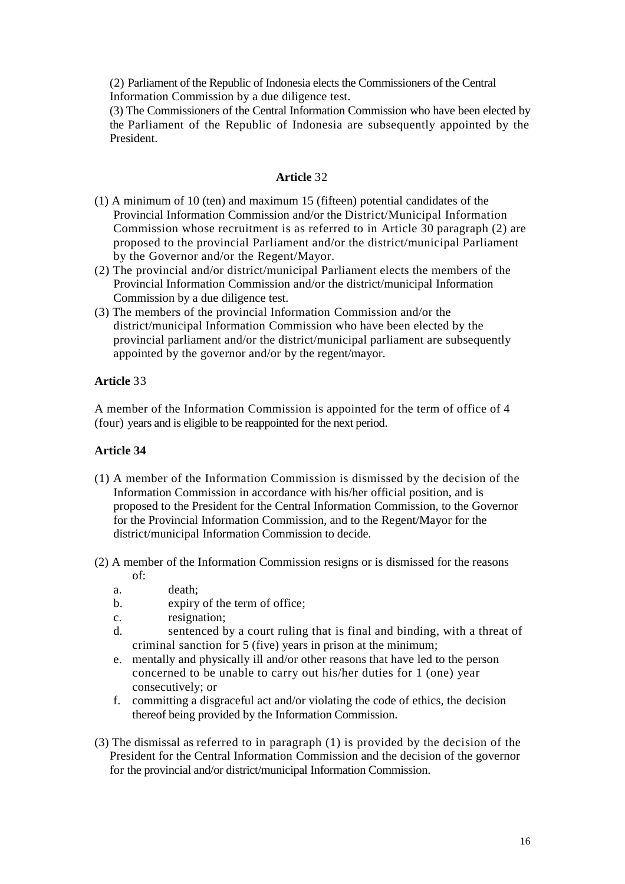(2) Parliament of the Republic of Indonesia elects the Commissioners of the Central Information Commission by a due diligence test.

(3) The Commissioners of the Central Information Commission who have been elected by the Parliament of the Republic of Indonesia are subsequently appointed by the President.

## **Article** 32

- (1) A minimum of 10 (ten) and maximum 15 (fifteen) potential candidates of the Provincial Information Commission and/or the District/Municipal Information Commission whose recruitment is as referred to in Article 30 paragraph (2) are proposed to the provincial Parliament and/or the district/municipal Parliament by the Governor and/or the Regent/Mayor.
- (2) The provincial and/or district/municipal Parliament elects the members of the Provincial Information Commission and/or the district/municipal Information Commission by a due diligence test.
- (3) The members of the provincial Information Commission and/or the district/municipal Information Commission who have been elected by the provincial parliament and/or the district/municipal parliament are subsequently appointed by the governor and/or by the regent/mayor.

# **Article** 33

A member of the Information Commission is appointed for the term of office of 4 (four) years and is eligible to be reappointed for the next period.

- (1) A member of the Information Commission is dismissed by the decision of the Information Commission in accordance with his/her official position, and is proposed to the President for the Central Information Commission, to the Governor for the Provincial Information Commission, and to the Regent/Mayor for the district/municipal Information Commission to decide.
- (2) A member of the Information Commission resigns or is dismissed for the reasons of:
	- a. death;
	- b. expiry of the term of office;
	- c. resignation;
	- d. sentenced by a court ruling that is final and binding, with a threat of criminal sanction for 5 (five) years in prison at the minimum;
	- e. mentally and physically ill and/or other reasons that have led to the person concerned to be unable to carry out his/her duties for 1 (one) year consecutively; or
	- f. committing a disgraceful act and/or violating the code of ethics, the decision thereof being provided by the Information Commission.
- (3) The dismissal as referred to in paragraph (1) is provided by the decision of the President for the Central Information Commission and the decision of the governor for the provincial and/or district/municipal Information Commission.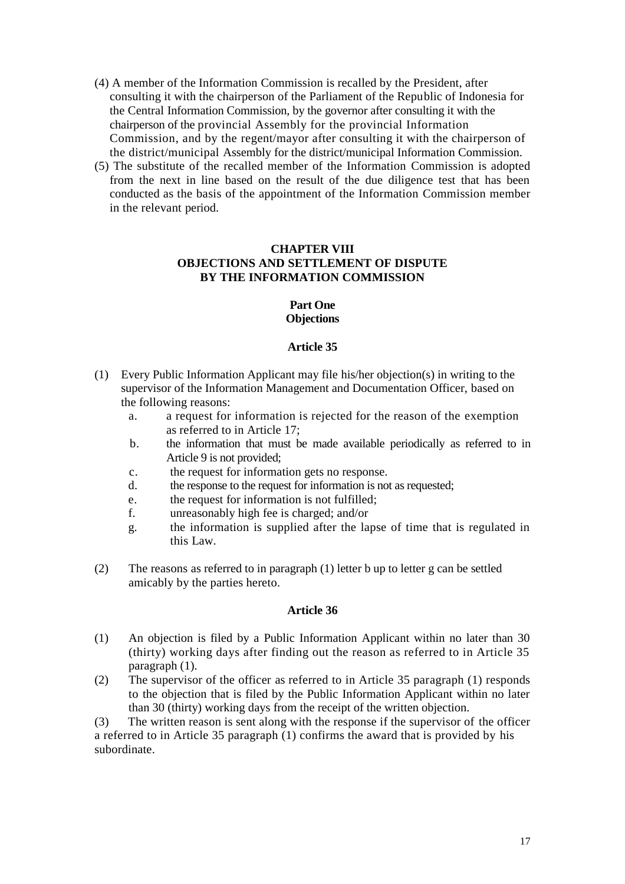- (4) A member of the Information Commission is recalled by the President, after consulting it with the chairperson of the Parliament of the Republic of Indonesia for the Central Information Commission, by the governor after consulting it with the chairperson of the provincial Assembly for the provincial Information Commission, and by the regent/mayor after consulting it with the chairperson of the district/municipal Assembly for the district/municipal Information Commission.
- (5) The substitute of the recalled member of the Information Commission is adopted from the next in line based on the result of the due diligence test that has been conducted as the basis of the appointment of the Information Commission member in the relevant period.

# **CHAPTER VIII OBJECTIONS AND SETTLEMENT OF DISPUTE BY THE INFORMATION COMMISSION**

## **Part One Objections**

## **Article 35**

- (1) Every Public Information Applicant may file his/her objection(s) in writing to the supervisor of the Information Management and Documentation Officer, based on the following reasons:
	- a. a request for information is rejected for the reason of the exemption as referred to in Article 17;
	- b. the information that must be made available periodically as referred to in Article 9 is not provided;
	- c. the request for information gets no response.
	- d. the response to the request for information is not as requested;
	- e. the request for information is not fulfilled;
	- f. unreasonably high fee is charged; and/or
	- g. the information is supplied after the lapse of time that is regulated in this Law.
- (2) The reasons as referred to in paragraph (1) letter b up to letter g can be settled amicably by the parties hereto.

#### **Article 36**

- (1) An objection is filed by a Public Information Applicant within no later than 30 (thirty) working days after finding out the reason as referred to in Article 35 paragraph (1).
- (2) The supervisor of the officer as referred to in Article 35 paragraph (1) responds to the objection that is filed by the Public Information Applicant within no later than 30 (thirty) working days from the receipt of the written objection.

(3) The written reason is sent along with the response if the supervisor of the officer a referred to in Article 35 paragraph (1) confirms the award that is provided by his subordinate.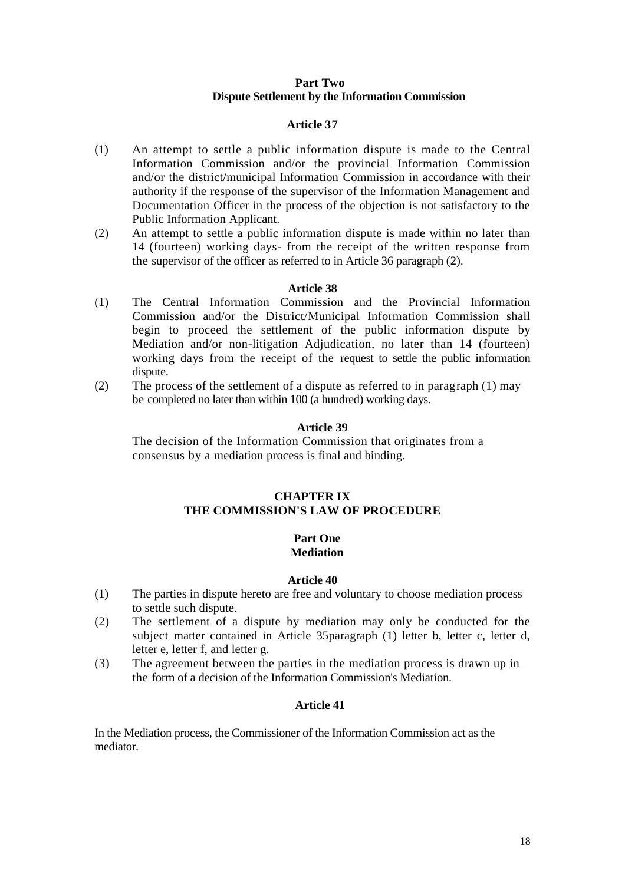## **Part Two Dispute Settlement by the Information Commission**

## **Article 37**

- (1) An attempt to settle a public information dispute is made to the Central Information Commission and/or the provincial Information Commission and/or the district/municipal Information Commission in accordance with their authority if the response of the supervisor of the Information Management and Documentation Officer in the process of the objection is not satisfactory to the Public Information Applicant.
- (2) An attempt to settle a public information dispute is made within no later than 14 (fourteen) working days- from the receipt of the written response from the supervisor of the officer as referred to in Article 36 paragraph (2).

## **Article 38**

- (1) The Central Information Commission and the Provincial Information Commission and/or the District/Municipal Information Commission shall begin to proceed the settlement of the public information dispute by Mediation and/or non-litigation Adjudication, no later than 14 (fourteen) working days from the receipt of the request to settle the public information dispute.
- (2) The process of the settlement of a dispute as referred to in paragraph (1) may be completed no later than within 100 (a hundred) working days.

## **Article 39**

The decision of the Information Commission that originates from a consensus by a mediation process is final and binding.

## **CHAPTER IX THE COMMISSION'S LAW OF PROCEDURE**

#### **Part One Mediation**

#### **Article 40**

- (1) The parties in dispute hereto are free and voluntary to choose mediation process to settle such dispute.
- (2) The settlement of a dispute by mediation may only be conducted for the subject matter contained in Article 35paragraph (1) letter b, letter c, letter d, letter e, letter f, and letter g.
- (3) The agreement between the parties in the mediation process is drawn up in the form of a decision of the Information Commission's Mediation.

## **Article 41**

In the Mediation process, the Commissioner of the Information Commission act as the mediator.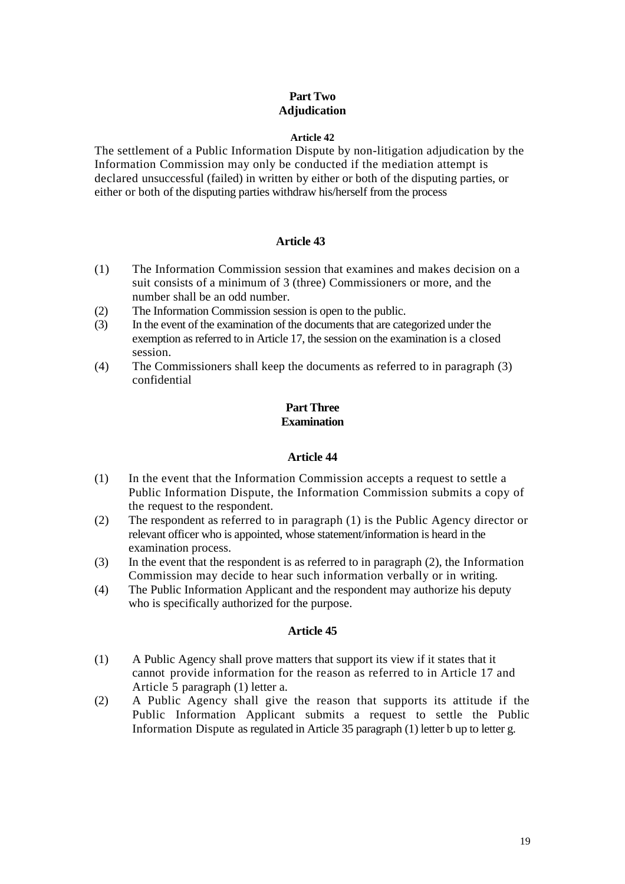# **Part Two Adjudication**

#### **Article 42**

The settlement of a Public Information Dispute by non-litigation adjudication by the Information Commission may only be conducted if the mediation attempt is declared unsuccessful (failed) in written by either or both of the disputing parties, or either or both of the disputing parties withdraw his/herself from the process

## **Article 43**

- (1) The Information Commission session that examines and makes decision on a suit consists of a minimum of 3 (three) Commissioners or more, and the number shall be an odd number.
- (2) The Information Commission session is open to the public.
- (3) In the event of the examination of the documents that are categorized under the exemption as referred to in Article 17, the session on the examination is a closed session.
- (4) The Commissioners shall keep the documents as referred to in paragraph (3) confidential

## **Part Three Examination**

## **Article 44**

- (1) In the event that the Information Commission accepts a request to settle a Public Information Dispute, the Information Commission submits a copy of the request to the respondent.
- (2) The respondent as referred to in paragraph (1) is the Public Agency director or relevant officer who is appointed, whose statement/information is heard in the examination process.
- (3) In the event that the respondent is as referred to in paragraph (2), the Information Commission may decide to hear such information verbally or in writing.
- (4) The Public Information Applicant and the respondent may authorize his deputy who is specifically authorized for the purpose.

- (1) A Public Agency shall prove matters that support its view if it states that it cannot provide information for the reason as referred to in Article 17 and Article 5 paragraph (1) letter a.
- (2) A Public Agency shall give the reason that supports its attitude if the Public Information Applicant submits a request to settle the Public Information Dispute as regulated in Article 35 paragraph (1) letter b up to letter g.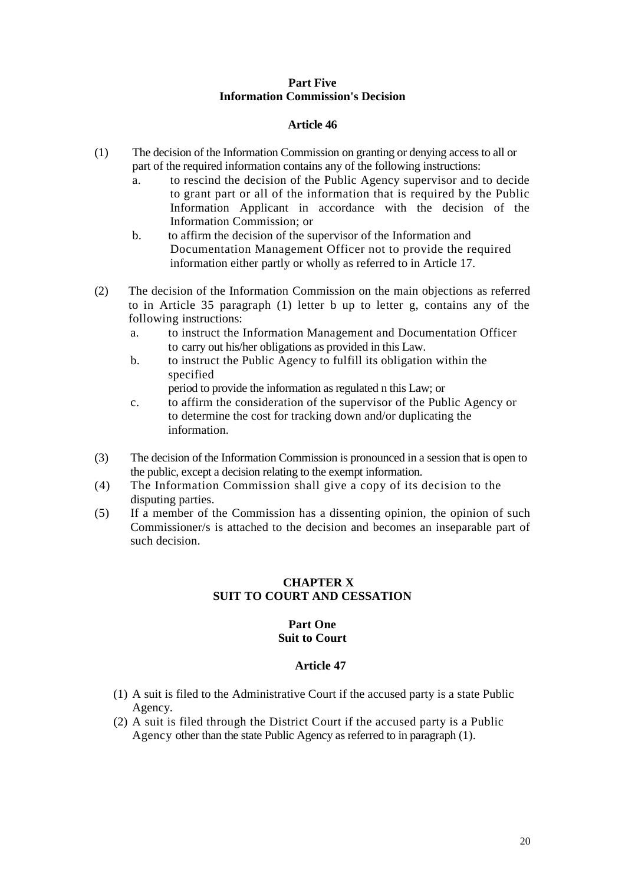## **Part Five Information Commission's Decision**

## **Article 46**

- (1) The decision of the Information Commission on granting or denying access to all or part of the required information contains any of the following instructions:
	- a. to rescind the decision of the Public Agency supervisor and to decide to grant part or all of the information that is required by the Public Information Applicant in accordance with the decision of the Information Commission; or
	- b. to affirm the decision of the supervisor of the Information and Documentation Management Officer not to provide the required information either partly or wholly as referred to in Article 17.
- (2) The decision of the Information Commission on the main objections as referred to in Article 35 paragraph (1) letter b up to letter g, contains any of the following instructions:
	- a. to instruct the Information Management and Documentation Officer to carry out his/her obligations as provided in this Law.
	- b. to instruct the Public Agency to fulfill its obligation within the specified
	- period to provide the information as regulated n this Law; or c. to affirm the consideration of the supervisor of the Public Agency or to determine the cost for tracking down and/or duplicating the
- (3) The decision of the Information Commission is pronounced in a session that is open to the public, except a decision relating to the exempt information.
- (4) The Information Commission shall give a copy of its decision to the disputing parties.

information.

(5) If a member of the Commission has a dissenting opinion, the opinion of such Commissioner/s is attached to the decision and becomes an inseparable part of such decision.

# **CHAPTER X SUIT TO COURT AND CESSATION**

#### **Part One Suit to Court**

- (1) A suit is filed to the Administrative Court if the accused party is a state Public Agency.
- (2) A suit is filed through the District Court if the accused party is a Public Agency other than the state Public Agency as referred to in paragraph (1).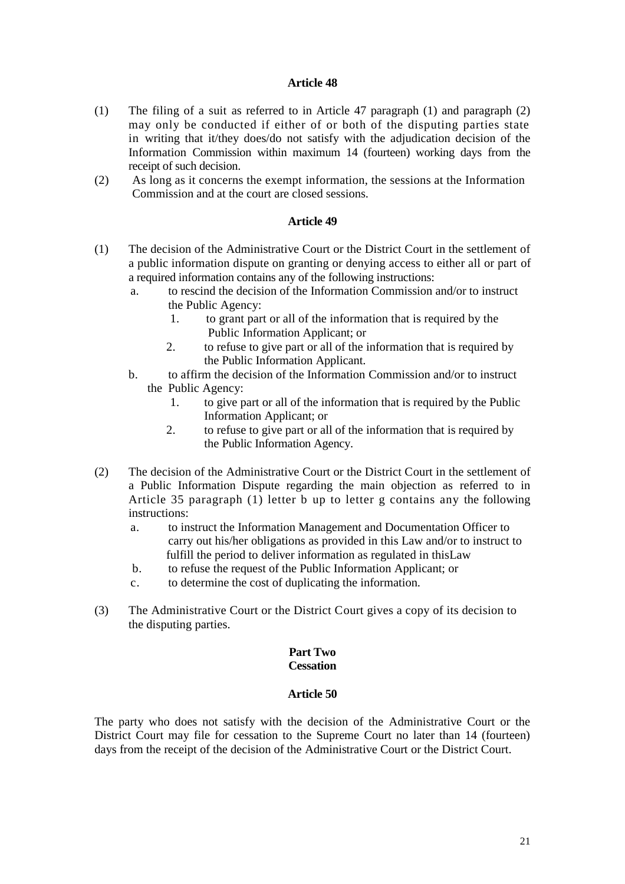#### **Article 48**

- (1) The filing of a suit as referred to in Article 47 paragraph (1) and paragraph (2) may only be conducted if either of or both of the disputing parties state in writing that it/they does/do not satisfy with the adjudication decision of the Information Commission within maximum 14 (fourteen) working days from the receipt of such decision.
- (2) As long as it concerns the exempt information, the sessions at the Information Commission and at the court are closed sessions.

## **Article 49**

- (1) The decision of the Administrative Court or the District Court in the settlement of a public information dispute on granting or denying access to either all or part of a required information contains any of the following instructions:
	- a. to rescind the decision of the Information Commission and/or to instruct the Public Agency:
		- 1. to grant part or all of the information that is required by the Public Information Applicant; or
		- 2. to refuse to give part or all of the information that is required by the Public Information Applicant.
	- b. to affirm the decision of the Information Commission and/or to instruct the Public Agency:
		- 1. to give part or all of the information that is required by the Public Information Applicant; or
		- 2. to refuse to give part or all of the information that is required by the Public Information Agency.
- (2) The decision of the Administrative Court or the District Court in the settlement of a Public Information Dispute regarding the main objection as referred to in Article 35 paragraph (1) letter b up to letter g contains any the following instructions:
	- a. to instruct the Information Management and Documentation Officer to carry out his/her obligations as provided in this Law and/or to instruct to fulfill the period to deliver information as regulated in thisLaw
	- b. to refuse the request of the Public Information Applicant; or
	- c. to determine the cost of duplicating the information.
- (3) The Administrative Court or the District Court gives a copy of its decision to the disputing parties.

#### **Part Two Cessation**

#### **Article 50**

The party who does not satisfy with the decision of the Administrative Court or the District Court may file for cessation to the Supreme Court no later than 14 (fourteen) days from the receipt of the decision of the Administrative Court or the District Court.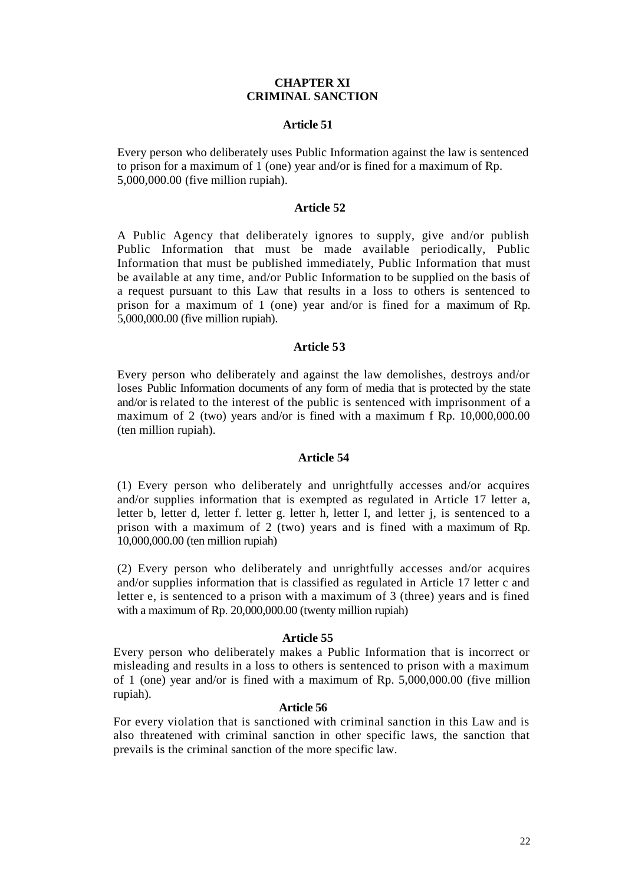## **CHAPTER XI CRIMINAL SANCTION**

#### **Article 51**

Every person who deliberately uses Public Information against the law is sentenced to prison for a maximum of 1 (one) year and/or is fined for a maximum of Rp. 5,000,000.00 (five million rupiah).

#### **Article 52**

A Public Agency that deliberately ignores to supply, give and/or publish Public Information that must be made available periodically, Public Information that must be published immediately, Public Information that must be available at any time, and/or Public Information to be supplied on the basis of a request pursuant to this Law that results in a loss to others is sentenced to prison for a maximum of 1 (one) year and/or is fined for a maximum of Rp. 5,000,000.00 (five million rupiah).

#### **Article 53**

Every person who deliberately and against the law demolishes, destroys and/or loses Public Information documents of any form of media that is protected by the state and/or is related to the interest of the public is sentenced with imprisonment of a maximum of 2 (two) years and/or is fined with a maximum f Rp. 10,000,000.00 (ten million rupiah).

#### **Article 54**

(1) Every person who deliberately and unrightfully accesses and/or acquires and/or supplies information that is exempted as regulated in Article 17 letter a, letter b, letter d, letter f. letter g. letter h, letter I, and letter j, is sentenced to a prison with a maximum of 2 (two) years and is fined with a maximum of Rp. 10,000,000.00 (ten million rupiah)

(2) Every person who deliberately and unrightfully accesses and/or acquires and/or supplies information that is classified as regulated in Article 17 letter c and letter e, is sentenced to a prison with a maximum of 3 (three) years and is fined with a maximum of Rp. 20,000,000.00 (twenty million rupiah)

#### **Article 55**

Every person who deliberately makes a Public Information that is incorrect or misleading and results in a loss to others is sentenced to prison with a maximum of 1 (one) year and/or is fined with a maximum of Rp. 5,000,000.00 (five million rupiah).

#### **Article 56**

For every violation that is sanctioned with criminal sanction in this Law and is also threatened with criminal sanction in other specific laws, the sanction that prevails is the criminal sanction of the more specific law.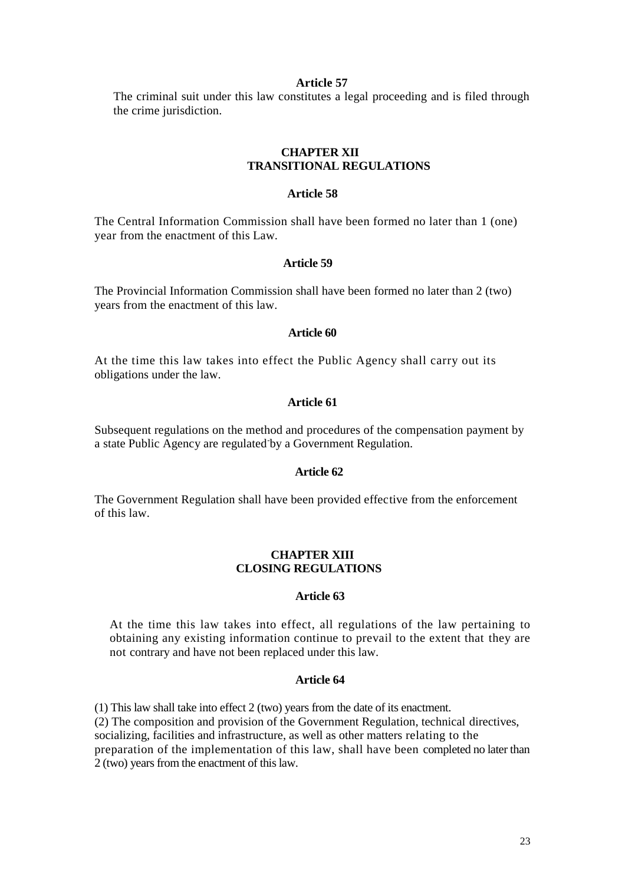#### **Article 57**

The criminal suit under this law constitutes a legal proceeding and is filed through the crime jurisdiction.

## **CHAPTER XII TRANSITIONAL REGULATIONS**

#### **Article 58**

The Central Information Commission shall have been formed no later than 1 (one) year from the enactment of this Law.

#### **Article 59**

The Provincial Information Commission shall have been formed no later than 2 (two) years from the enactment of this law.

#### **Article 60**

At the time this law takes into effect the Public Agency shall carry out its obligations under the law.

## **Article 61**

Subsequent regulations on the method and procedures of the compensation payment by a state Public Agency are regulated by a Government Regulation.

#### **Article 62**

The Government Regulation shall have been provided effective from the enforcement of this law.

## **CHAPTER XIII CLOSING REGULATIONS**

#### **Article 63**

At the time this law takes into effect, all regulations of the law pertaining to obtaining any existing information continue to prevail to the extent that they are not contrary and have not been replaced under this law.

#### **Article 64**

(1) This law shall take into effect 2 (two) years from the date of its enactment. (2) The composition and provision of the Government Regulation, technical directives, socializing, facilities and infrastructure, as well as other matters relating to the preparation of the implementation of this law, shall have been completed no later than 2 (two) years from the enactment of this law.